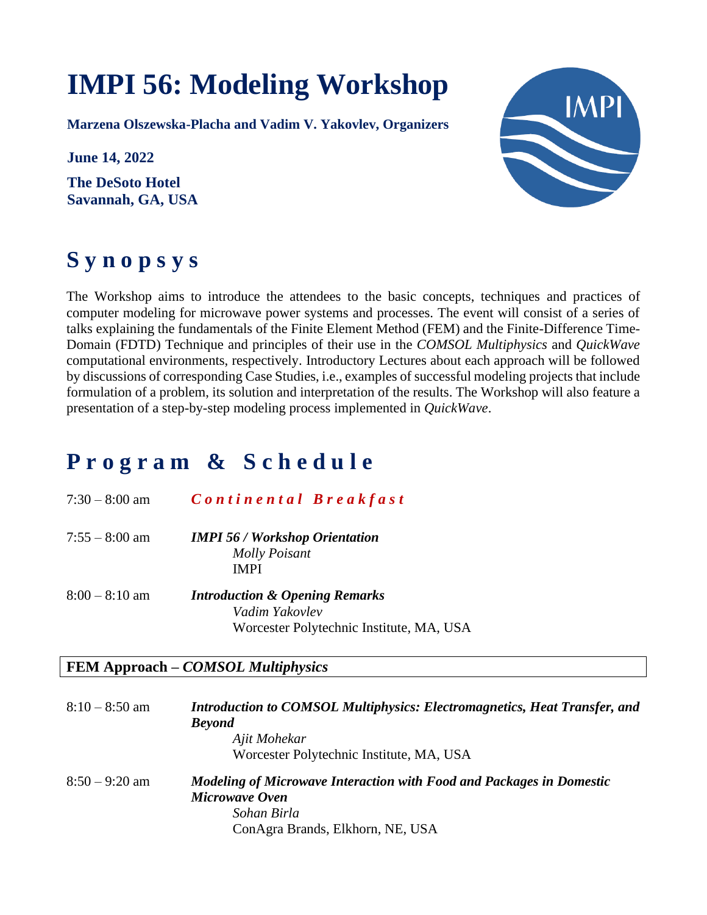# **IMPI 56: Modeling Workshop**

**Marzena Olszewska-Placha and Vadim V. Yakovlev, Organizers**

**June 14, 2022**

**The DeSoto Hotel Savannah, GA, USA**



# **S y n o p s y s**

The Workshop aims to introduce the attendees to the basic concepts, techniques and practices of computer modeling for microwave power systems and processes. The event will consist of a series of talks explaining the fundamentals of the Finite Element Method (FEM) and the Finite-Difference Time-Domain (FDTD) Technique and principles of their use in the *COMSOL Multiphysics* and *QuickWave* computational environments, respectively. Introductory Lectures about each approach will be followed by discussions of corresponding Case Studies, i.e., examples of successful modeling projects that include formulation of a problem, its solution and interpretation of the results. The Workshop will also feature a presentation of a step-by-step modeling process implemented in *QuickWave*.

## **P r o g r a m & S c h e d u l e**

| $7:30 - 8:00$ am | Continental Breakfast                                                        |
|------------------|------------------------------------------------------------------------------|
| $7:55 - 8:00$ am | <b>IMPI 56 / Workshop Orientation</b><br><b>Molly Poisant</b><br><b>IMPI</b> |
| $8:00 - 8:10$ am | <b>Introduction &amp; Opening Remarks</b><br>Vadim Yakovlev                  |

#### **FEM Approach –** *COMSOL Multiphysics*

| $8:10 - 8:50$ am | <b>Introduction to COMSOL Multiphysics: Electromagnetics, Heat Transfer, and</b><br><b>Beyond</b><br>Ajit Mohekar |
|------------------|-------------------------------------------------------------------------------------------------------------------|
|                  | Worcester Polytechnic Institute, MA, USA                                                                          |
| $8:50 - 9:20$ am | Modeling of Microwave Interaction with Food and Packages in Domestic                                              |
|                  | Microwave Oven                                                                                                    |
|                  | Sohan Birla                                                                                                       |
|                  | ConAgra Brands, Elkhorn, NE, USA                                                                                  |

Worcester Polytechnic Institute, MA, USA